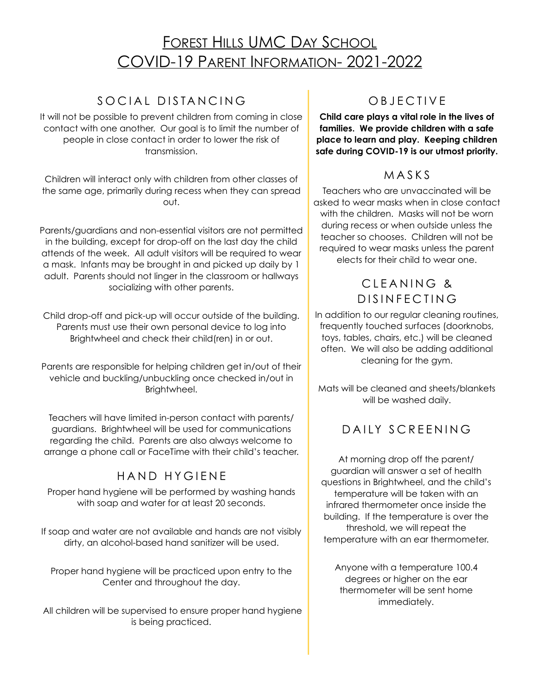# **FOREST HILLS UMC DAY SCHOOL** COVID-19 PARENT INFORMATION- 2021-2022

### SOCIAL DISTANCING

It will not be possible to prevent children from coming in close contact with one another. Our goal is to limit the number of people in close contact in order to lower the risk of transmission.

Children will interact only with children from other classes of the same age, primarily during recess when they can spread out.

Parents/guardians and non-essential visitors are not permitted in the building, except for drop-off on the last day the child attends of the week. All adult visitors will be required to wear a mask. Infants may be brought in and picked up daily by 1 adult. Parents should not linger in the classroom or hallways socializing with other parents.

Child drop-off and pick-up will occur outside of the building. Parents must use their own personal device to log into Brightwheel and check their child(ren) in or out.

Parents are responsible for helping children get in/out of their vehicle and buckling/unbuckling once checked in/out in Brightwheel.

Teachers will have limited in-person contact with parents/ guardians. Brightwheel will be used for communications regarding the child. Parents are also always welcome to arrange a phone call or FaceTime with their child's teacher.

#### HAND HYGIENE

Proper hand hygiene will be performed by washing hands with soap and water for at least 20 seconds.

If soap and water are not available and hands are not visibly dirty, an alcohol-based hand sanitizer will be used.

Proper hand hygiene will be practiced upon entry to the Center and throughout the day.

 All children will be supervised to ensure proper hand hygiene is being practiced.

### OBJECTIVE

**Child care plays a vital role in the lives of families. We provide children with a safe place to learn and play. Keeping children safe during COVID-19 is our utmost priority.** 

#### MASKS

Teachers who are unvaccinated will be asked to wear masks when in close contact with the children. Masks will not be worn during recess or when outside unless the teacher so chooses. Children will not be required to wear masks unless the parent elects for their child to wear one.

#### CLEANING & DISINFECTING

In addition to our regular cleaning routines, frequently touched surfaces (doorknobs, toys, tables, chairs, etc.) will be cleaned often. We will also be adding additional cleaning for the gym.

Mats will be cleaned and sheets/blankets will be washed daily.

### DAILY SCREENING

At morning drop off the parent/ guardian will answer a set of health questions in Brightwheel, and the child's temperature will be taken with an infrared thermometer once inside the building. If the temperature is over the threshold, we will repeat the temperature with an ear thermometer.

Anyone with a temperature 100.4 degrees or higher on the ear thermometer will be sent home immediately.